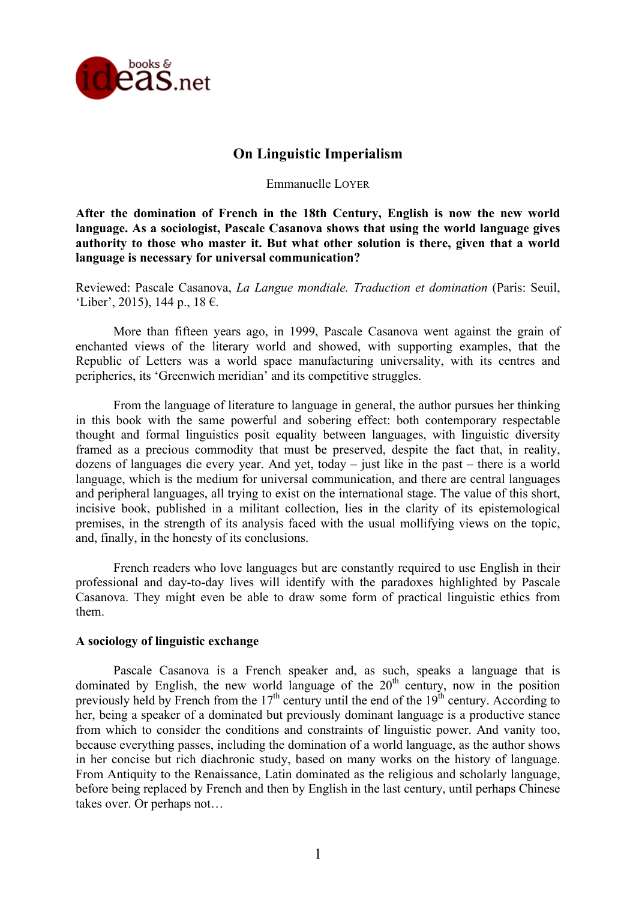

## **On Linguistic Imperialism**

Emmanuelle LOYER

**After the domination of French in the 18th Century, English is now the new world language. As a sociologist, Pascale Casanova shows that using the world language gives authority to those who master it. But what other solution is there, given that a world language is necessary for universal communication?**

Reviewed: Pascale Casanova, *La Langue mondiale. Traduction et domination* (Paris: Seuil, 'Liber', 2015), 144 p., 18 €.

More than fifteen years ago, in 1999, Pascale Casanova went against the grain of enchanted views of the literary world and showed, with supporting examples, that the Republic of Letters was a world space manufacturing universality, with its centres and peripheries, its 'Greenwich meridian' and its competitive struggles.

From the language of literature to language in general, the author pursues her thinking in this book with the same powerful and sobering effect: both contemporary respectable thought and formal linguistics posit equality between languages, with linguistic diversity framed as a precious commodity that must be preserved, despite the fact that, in reality, dozens of languages die every year. And yet, today – just like in the past – there is a world language, which is the medium for universal communication, and there are central languages and peripheral languages, all trying to exist on the international stage. The value of this short, incisive book, published in a militant collection, lies in the clarity of its epistemological premises, in the strength of its analysis faced with the usual mollifying views on the topic, and, finally, in the honesty of its conclusions.

French readers who love languages but are constantly required to use English in their professional and day-to-day lives will identify with the paradoxes highlighted by Pascale Casanova. They might even be able to draw some form of practical linguistic ethics from them.

## **A sociology of linguistic exchange**

Pascale Casanova is a French speaker and, as such, speaks a language that is dominated by English, the new world language of the  $20<sup>th</sup>$  century, now in the position previously held by French from the  $17<sup>th</sup>$  century until the end of the  $19<sup>th</sup>$  century. According to her, being a speaker of a dominated but previously dominant language is a productive stance from which to consider the conditions and constraints of linguistic power. And vanity too, because everything passes, including the domination of a world language, as the author shows in her concise but rich diachronic study, based on many works on the history of language. From Antiquity to the Renaissance, Latin dominated as the religious and scholarly language, before being replaced by French and then by English in the last century, until perhaps Chinese takes over. Or perhaps not…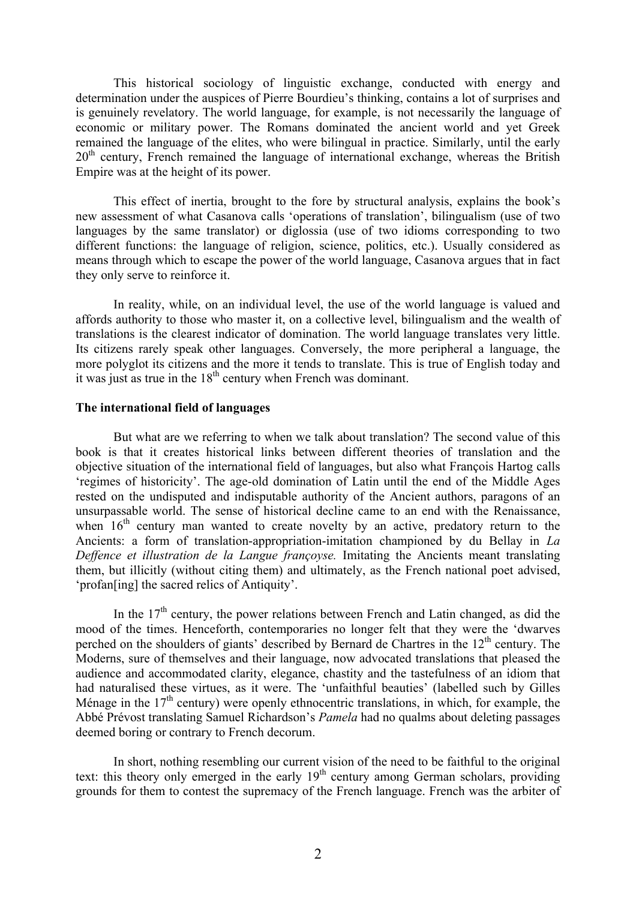This historical sociology of linguistic exchange, conducted with energy and determination under the auspices of Pierre Bourdieu's thinking, contains a lot of surprises and is genuinely revelatory. The world language, for example, is not necessarily the language of economic or military power. The Romans dominated the ancient world and yet Greek remained the language of the elites, who were bilingual in practice. Similarly, until the early  $20<sup>th</sup>$  century. French remained the language of international exchange, whereas the British Empire was at the height of its power.

This effect of inertia, brought to the fore by structural analysis, explains the book's new assessment of what Casanova calls 'operations of translation', bilingualism (use of two languages by the same translator) or diglossia (use of two idioms corresponding to two different functions: the language of religion, science, politics, etc.). Usually considered as means through which to escape the power of the world language, Casanova argues that in fact they only serve to reinforce it.

In reality, while, on an individual level, the use of the world language is valued and affords authority to those who master it, on a collective level, bilingualism and the wealth of translations is the clearest indicator of domination. The world language translates very little. Its citizens rarely speak other languages. Conversely, the more peripheral a language, the more polyglot its citizens and the more it tends to translate. This is true of English today and it was just as true in the  $18<sup>th</sup>$  century when French was dominant.

## **The international field of languages**

But what are we referring to when we talk about translation? The second value of this book is that it creates historical links between different theories of translation and the objective situation of the international field of languages, but also what François Hartog calls 'regimes of historicity'. The age-old domination of Latin until the end of the Middle Ages rested on the undisputed and indisputable authority of the Ancient authors, paragons of an unsurpassable world. The sense of historical decline came to an end with the Renaissance, when  $16<sup>th</sup>$  century man wanted to create novelty by an active, predatory return to the Ancients: a form of translation-appropriation-imitation championed by du Bellay in *La Deffence et illustration de la Langue françoyse.* Imitating the Ancients meant translating them, but illicitly (without citing them) and ultimately, as the French national poet advised, 'profan[ing] the sacred relics of Antiquity'.

In the  $17<sup>th</sup>$  century, the power relations between French and Latin changed, as did the mood of the times. Henceforth, contemporaries no longer felt that they were the 'dwarves perched on the shoulders of giants' described by Bernard de Chartres in the  $12<sup>th</sup>$  century. The Moderns, sure of themselves and their language, now advocated translations that pleased the audience and accommodated clarity, elegance, chastity and the tastefulness of an idiom that had naturalised these virtues, as it were. The 'unfaithful beauties' (labelled such by Gilles Ménage in the  $17<sup>th</sup>$  century) were openly ethnocentric translations, in which, for example, the Abbé Prévost translating Samuel Richardson's *Pamela* had no qualms about deleting passages deemed boring or contrary to French decorum.

In short, nothing resembling our current vision of the need to be faithful to the original text: this theory only emerged in the early  $19<sup>th</sup>$  century among German scholars, providing grounds for them to contest the supremacy of the French language. French was the arbiter of